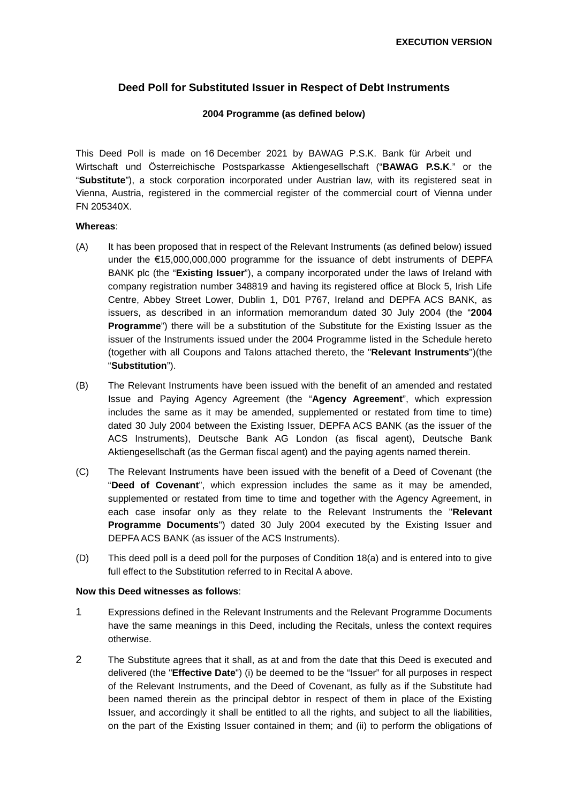### **Deed Poll for Substituted Issuer in Respect of Debt Instruments**

#### **2004 Programme (as defined below)**

This Deed Poll is made on 16 December 2021 by BAWAG P.S.K. Bank für Arbeit und Wirtschaft und Österreichische Postsparkasse Aktiengesellschaft ("**BAWAG P.S.K**." or the "**Substitute**"), a stock corporation incorporated under Austrian law, with its registered seat in Vienna, Austria, registered in the commercial register of the commercial court of Vienna under FN 205340X.

#### **Whereas**:

- (A) It has been proposed that in respect of the Relevant Instruments (as defined below) issued under the €15,000,000,000 programme for the issuance of debt instruments of DEPFA BANK plc (the "**Existing Issuer**"), a company incorporated under the laws of Ireland with company registration number 348819 and having its registered office at Block 5, Irish Life Centre, Abbey Street Lower, Dublin 1, D01 P767, Ireland and DEPFA ACS BANK, as issuers, as described in an information memorandum dated 30 July 2004 (the "**2004 Programme**") there will be a substitution of the Substitute for the Existing Issuer as the issuer of the Instruments issued under the 2004 Programme listed in the Schedule hereto (together with all Coupons and Talons attached thereto, the "**Relevant Instruments**")(the "**Substitution**").
- (B) The Relevant Instruments have been issued with the benefit of an amended and restated Issue and Paying Agency Agreement (the "**Agency Agreement**", which expression includes the same as it may be amended, supplemented or restated from time to time) dated 30 July 2004 between the Existing Issuer, DEPFA ACS BANK (as the issuer of the ACS Instruments), Deutsche Bank AG London (as fiscal agent), Deutsche Bank Aktiengesellschaft (as the German fiscal agent) and the paying agents named therein.
- (C) The Relevant Instruments have been issued with the benefit of a Deed of Covenant (the "**Deed of Covenant**", which expression includes the same as it may be amended, supplemented or restated from time to time and together with the Agency Agreement, in each case insofar only as they relate to the Relevant Instruments the "**Relevant Programme Documents**") dated 30 July 2004 executed by the Existing Issuer and DEPFA ACS BANK (as issuer of the ACS Instruments).
- (D) This deed poll is a deed poll for the purposes of Condition 18(a) and is entered into to give full effect to the Substitution referred to in Recital A above.

#### **Now this Deed witnesses as follows**:

- 1 Expressions defined in the Relevant Instruments and the Relevant Programme Documents have the same meanings in this Deed, including the Recitals, unless the context requires otherwise.
- 2 The Substitute agrees that it shall, as at and from the date that this Deed is executed and delivered (the "**Effective Date**") (i) be deemed to be the "Issuer" for all purposes in respect of the Relevant Instruments, and the Deed of Covenant, as fully as if the Substitute had been named therein as the principal debtor in respect of them in place of the Existing Issuer, and accordingly it shall be entitled to all the rights, and subject to all the liabilities, on the part of the Existing Issuer contained in them; and (ii) to perform the obligations of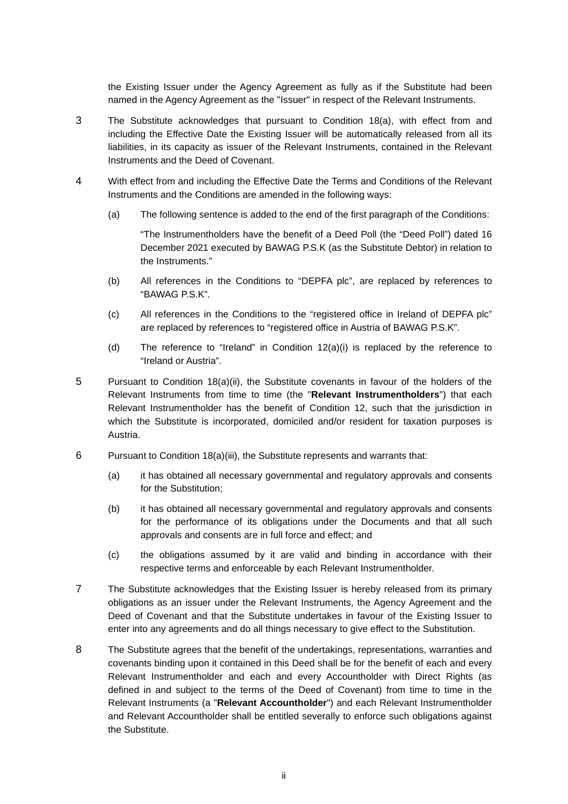the Existing Issuer under the Agency Agreement as fully as if the Substitute had been named in the Agency Agreement as the "Issuer" in respect of the Relevant Instruments.

- 3 The Substitute acknowledges that pursuant to Condition 18(a), with effect from and including the Effective Date the Existing Issuer will be automatically released from all its liabilities, in its capacity as issuer of the Relevant Instruments, contained in the Relevant Instruments and the Deed of Covenant.
- 4 With effect from and including the Effective Date the Terms and Conditions of the Relevant Instruments and the Conditions are amended in the following ways:
	- (a) The following sentence is added to the end of the first paragraph of the Conditions:

"The Instrumentholders have the benefit of a Deed Poll (the "Deed Poll") dated 16 December 2021 executed by BAWAG P.S.K (as the Substitute Debtor) in relation to the Instruments."

- (b) All references in the Conditions to "DEPFA plc", are replaced by references to "BAWAG P.S.K".
- (c) All references in the Conditions to the "registered office in Ireland of DEPFA plc" are replaced by references to "registered office in Austria of BAWAG P.S.K".
- (d) The reference to "Ireland" in Condition  $12(a)(i)$  is replaced by the reference to "Ireland or Austria".
- 5 Pursuant to Condition 18(a)(ii), the Substitute covenants in favour of the holders of the Relevant Instruments from time to time (the "**Relevant Instrumentholders**") that each Relevant Instrumentholder has the benefit of Condition 12, such that the jurisdiction in which the Substitute is incorporated, domiciled and/or resident for taxation purposes is Austria.
- 6 Pursuant to Condition 18(a)(iii), the Substitute represents and warrants that:
	- (a) it has obtained all necessary governmental and regulatory approvals and consents for the Substitution;
	- (b) it has obtained all necessary governmental and regulatory approvals and consents for the performance of its obligations under the Documents and that all such approvals and consents are in full force and effect; and
	- (c) the obligations assumed by it are valid and binding in accordance with their respective terms and enforceable by each Relevant Instrumentholder.
- <span id="page-1-0"></span>7 The Substitute acknowledges that the Existing Issuer is hereby released from its primary obligations as an issuer under the Relevant Instruments, the Agency Agreement and the Deed of Covenant and that the Substitute undertakes in favour of the Existing Issuer to enter into any agreements and do all things necessary to give effect to the Substitution.
- 8 The Substitute agrees that the benefit of the undertakings, representations, warranties and covenants binding upon it contained in this Deed shall be for the benefit of each and every Relevant Instrumentholder and each and every Accountholder with Direct Rights (as defined in and subject to the terms of the Deed of Covenant) from time to time in the Relevant Instruments (a "**Relevant Accountholder**") and each Relevant Instrumentholder and Relevant Accountholder shall be entitled severally to enforce such obligations against the Substitute.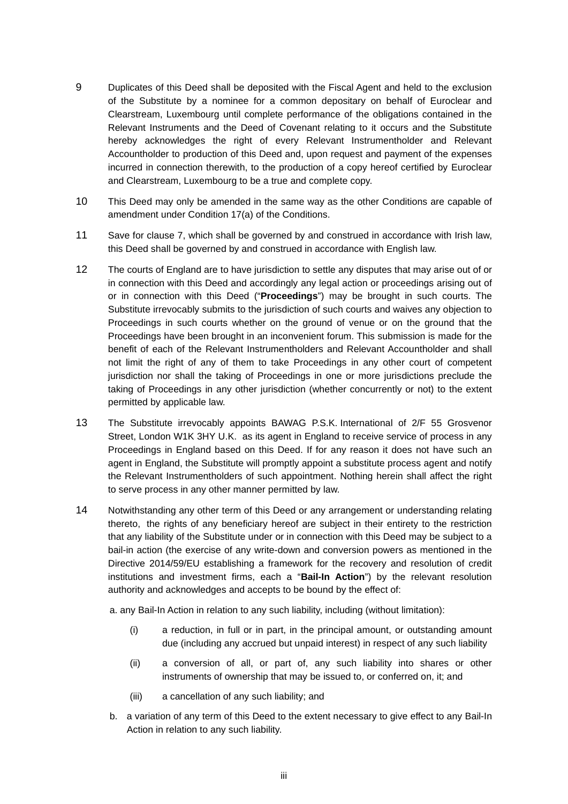- 9 Duplicates of this Deed shall be deposited with the Fiscal Agent and held to the exclusion of the Substitute by a nominee for a common depositary on behalf of Euroclear and Clearstream, Luxembourg until complete performance of the obligations contained in the Relevant Instruments and the Deed of Covenant relating to it occurs and the Substitute hereby acknowledges the right of every Relevant Instrumentholder and Relevant Accountholder to production of this Deed and, upon request and payment of the expenses incurred in connection therewith, to the production of a copy hereof certified by Euroclear and Clearstream, Luxembourg to be a true and complete copy.
- 10 This Deed may only be amended in the same way as the other Conditions are capable of amendment under Condition 17(a) of the Conditions.
- 11 Save for clause [7,](#page-1-0) which shall be governed by and construed in accordance with Irish law, this Deed shall be governed by and construed in accordance with English law.
- 12 The courts of England are to have jurisdiction to settle any disputes that may arise out of or in connection with this Deed and accordingly any legal action or proceedings arising out of or in connection with this Deed ("**Proceedings**") may be brought in such courts. The Substitute irrevocably submits to the jurisdiction of such courts and waives any objection to Proceedings in such courts whether on the ground of venue or on the ground that the Proceedings have been brought in an inconvenient forum. This submission is made for the benefit of each of the Relevant Instrumentholders and Relevant Accountholder and shall not limit the right of any of them to take Proceedings in any other court of competent jurisdiction nor shall the taking of Proceedings in one or more jurisdictions preclude the taking of Proceedings in any other jurisdiction (whether concurrently or not) to the extent permitted by applicable law.
- 13 The Substitute irrevocably appoints BAWAG P.S.K. International of 2/F 55 Grosvenor Street, London W1K 3HY U.K. as its agent in England to receive service of process in any Proceedings in England based on this Deed. If for any reason it does not have such an agent in England, the Substitute will promptly appoint a substitute process agent and notify the Relevant Instrumentholders of such appointment. Nothing herein shall affect the right to serve process in any other manner permitted by law.
- 14 Notwithstanding any other term of this Deed or any arrangement or understanding relating thereto, the rights of any beneficiary hereof are subject in their entirety to the restriction that any liability of the Substitute under or in connection with this Deed may be subject to a bail-in action (the exercise of any write-down and conversion powers as mentioned in the Directive 2014/59/EU establishing a framework for the recovery and resolution of credit institutions and investment firms, each a "**Bail-In Action**") by the relevant resolution authority and acknowledges and accepts to be bound by the effect of:

a. any Bail-In Action in relation to any such liability, including (without limitation):

- (i) a reduction, in full or in part, in the principal amount, or outstanding amount due (including any accrued but unpaid interest) in respect of any such liability
- (ii) a conversion of all, or part of, any such liability into shares or other instruments of ownership that may be issued to, or conferred on, it; and
- (iii) a cancellation of any such liability; and
- b. a variation of any term of this Deed to the extent necessary to give effect to any Bail-In Action in relation to any such liability.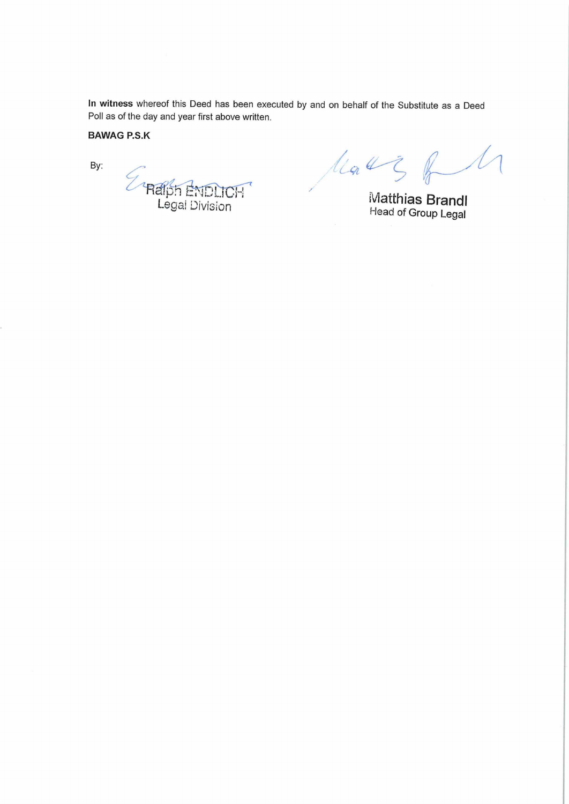**In witness** whereof this Deed has been executed by and on behalf of the Substitute as a Deed Poll as of the day and year first above written.

# **BAWAG P.S.K**

By:

P<br>Raiph ENDLICH

Mars of M

Matthias Brandl Head of Group Legal